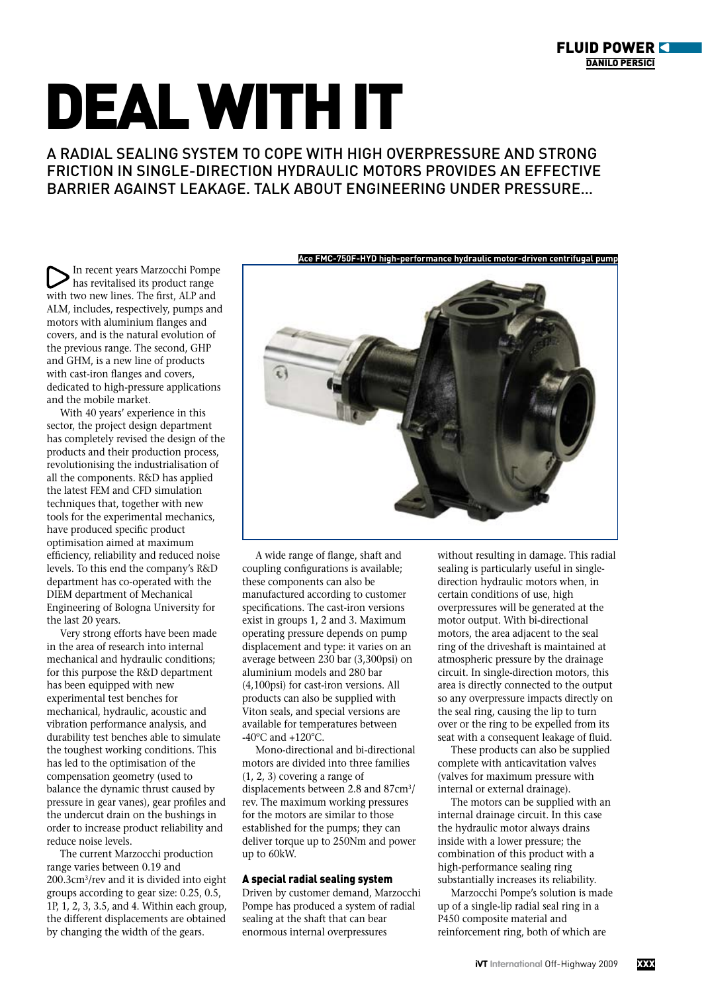## Deal with it

A radial sealing system to cope with high overpressure and strong friction in single-direction hydraulic motors provides an effective barrier against leakage. talk about engineering under pressure…

In recent years Marzocchi Pompe has revitalised its product range with two new lines. The first, ALP and ALM, includes, respectively, pumps and motors with aluminium flanges and covers, and is the natural evolution of the previous range. The second, GHP and GHM, is a new line of products with cast-iron flanges and covers, dedicated to high-pressure applications and the mobile market.

With 40 years' experience in this sector, the project design department has completely revised the design of the products and their production process, revolutionising the industrialisation of all the components. R&D has applied the latest FEM and CFD simulation techniques that, together with new tools for the experimental mechanics, have produced specific product optimisation aimed at maximum efficiency, reliability and reduced noise levels. To this end the company's R&D department has co-operated with the DIEM department of Mechanical Engineering of Bologna University for the last 20 years.

Very strong efforts have been made in the area of research into internal mechanical and hydraulic conditions; for this purpose the R&D department has been equipped with new experimental test benches for mechanical, hydraulic, acoustic and vibration performance analysis, and durability test benches able to simulate the toughest working conditions. This has led to the optimisation of the compensation geometry (used to balance the dynamic thrust caused by pressure in gear vanes), gear profiles and the undercut drain on the bushings in order to increase product reliability and reduce noise levels.

The current Marzocchi production range varies between 0.19 and 200.3cm3/rev and it is divided into eight groups according to gear size: 0.25, 0.5, 1P, 1, 2, 3, 3.5, and 4. Within each group, the different displacements are obtained by changing the width of the gears.



A wide range of flange, shaft and coupling configurations is available; these components can also be manufactured according to customer specifications. The cast-iron versions exist in groups 1, 2 and 3. Maximum operating pressure depends on pump displacement and type: it varies on an average between 230 bar (3,300psi) on aluminium models and 280 bar (4,100psi) for cast-iron versions. All products can also be supplied with Viton seals, and special versions are available for temperatures between -40 $\rm{^{\circ}C}$  and +120 $\rm{^{\circ}C}$ .

Mono-directional and bi-directional motors are divided into three families (1, 2, 3) covering a range of displacements between 2.8 and 87cm3/ rev. The maximum working pressures for the motors are similar to those established for the pumps; they can deliver torque up to 250Nm and power up to 60kW.

## A special radial sealing system

Driven by customer demand, Marzocchi Pompe has produced a system of radial sealing at the shaft that can bear enormous internal overpressures

without resulting in damage. This radial sealing is particularly useful in singledirection hydraulic motors when, in certain conditions of use, high overpressures will be generated at the motor output. With bi-directional motors, the area adjacent to the seal ring of the driveshaft is maintained at atmospheric pressure by the drainage circuit. In single-direction motors, this area is directly connected to the output so any overpressure impacts directly on the seal ring, causing the lip to turn over or the ring to be expelled from its seat with a consequent leakage of fluid.

These products can also be supplied complete with anticavitation valves (valves for maximum pressure with internal or external drainage).

The motors can be supplied with an internal drainage circuit. In this case the hydraulic motor always drains inside with a lower pressure; the combination of this product with a high-performance sealing ring substantially increases its reliability.

Marzocchi Pompe's solution is made up of a single-lip radial seal ring in a P450 composite material and reinforcement ring, both of which are